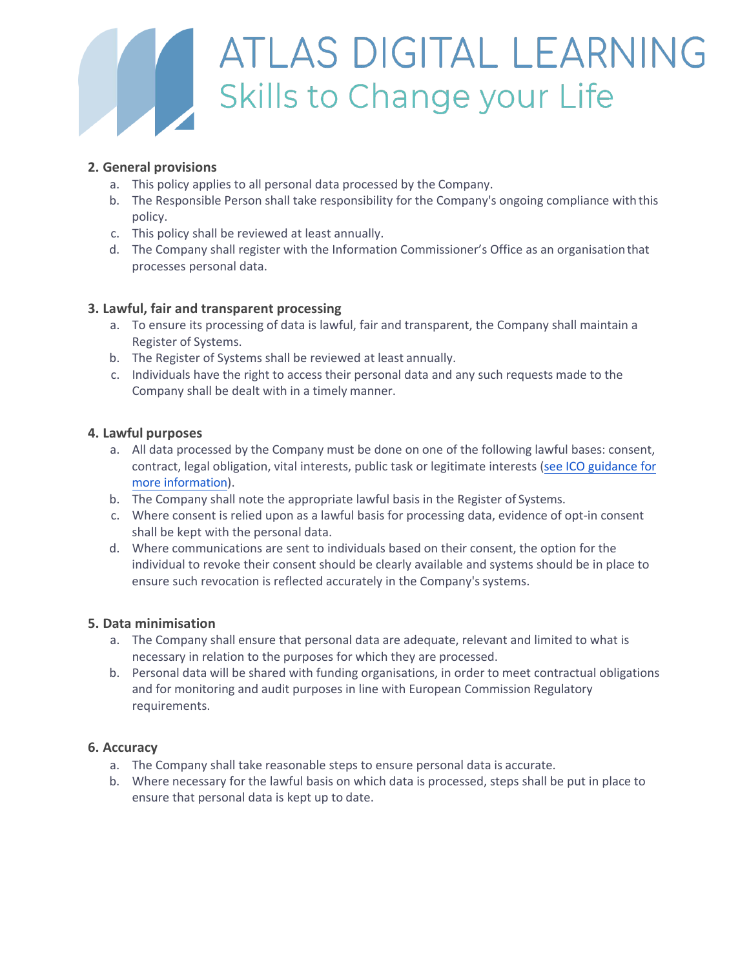

# **General provisions**

- a. This policy applies to all personal data processed by the Charity.
- b. The Responsible Person shall take responsibility for the Charity's ongoing compliance with this policy.
- c. This policy shall be reviewed at least annually.
- d. The Charity shall register with the Information Commissioner's Office as an organisationthat processes personal data.

# ïX **Lawful, fair and transparent processing**

- a. To ensure its processing of data is lawful, fair and transparent, the Charity shall maintain a Register of Systems.
- b. The Register of Systems shall be reviewed at least annually.
- c. Individuals have the right to access their personal data and any such requests made to the Charity shall be dealt with in a timely manner.

## **E** Lawful purposes

- a. All data processed by the Charity must be done on one of the following lawful bases: consent, contract, legal obligation, vital interests, public task or legitimate interests [\(see ICO guidance for](https://ico.org.uk/for-organisations/guide-to-the-general-data-protection-regulation-gdpr/lawful-basis-for-processing/) [more information\).](https://ico.org.uk/for-organisations/guide-to-the-general-data-protection-regulation-gdpr/lawful-basis-for-processing/)
- b. The Charity shall note the appropriate lawful basis in the Register of Systems.
- c. Where consent is relied upon as a lawful basis for processing data, evidence of opt-in consent shall be kept with the personal data.
- d. Where communications are sent to individuals based on their consent, the option for the individual to revoke their consent should be clearly available and systems should be in place to ensure such revocation is reflected accurately in the Charity's systems.

#### **n** Data minimisation

- a. The Charity shall ensure that personal data are adequate, relevant and limited to what is necessary in relation to the purposes for which they are processed.
- b. Personal data will be shared with funding organisations, in order to meet contractual obligations and for monitoring and audit purposes in line with European Commission Regulatory requirements.

#### **P** Accuracy

- a. The Charity shall take reasonable steps to ensure personal data is accurate.
- b. Where necessary for the lawful basis on which data is processed, steps shall be put in place to ensure that personal data is kept up to date.